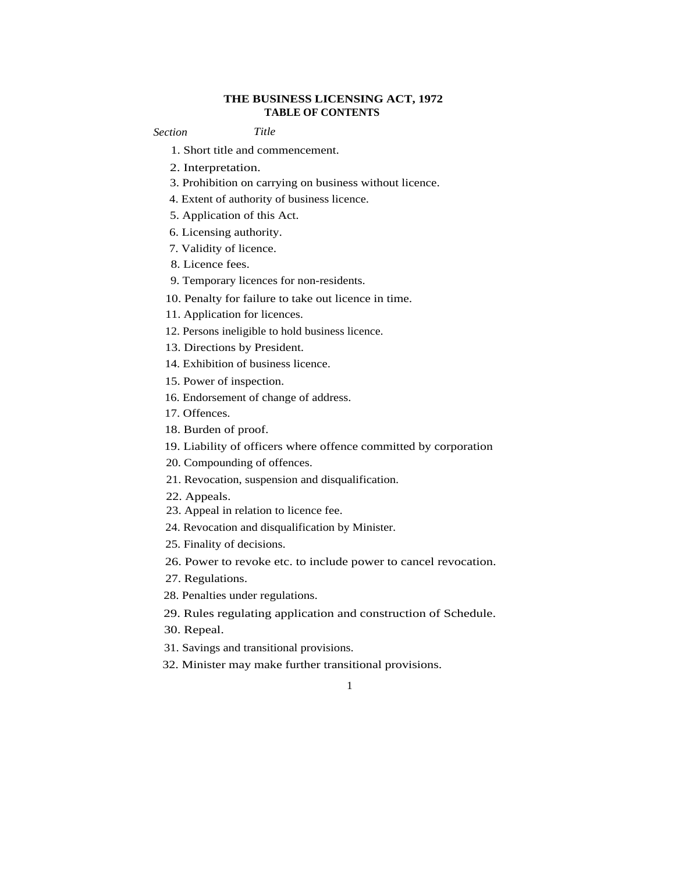## **THE BUSINESS LICENSING ACT, 1972 TABLE OF CONTENTS**

*Section Title*

- 1. Short title and commencement.
- 2. Interpretation.
- 3. Prohibition on carrying on business without licence.
- 4. Extent of authority of business licence.
- 5. Application of this Act.
- 6. Licensing authority.
- 7. Validity of licence.
- 8. Licence fees.
- 9. Temporary licences for non-residents.
- 10. Penalty for failure to take out licence in time.
- 11. Application for licences.
- 12. Persons ineligible to hold business licence.
- 13. Directions by President.
- 14. Exhibition of business licence.
- 15. Power of inspection.
- 16. Endorsement of change of address.
- 17. Offences.
- 18. Burden of proof.
- 19. Liability of officers where offence committed by corporation
- 20. Compounding of offences.
- 21. Revocation, suspension and disqualification.
- 22. Appeals.
- 23. Appeal in relation to licence fee.
- 24. Revocation and disqualification by Minister.
- 25. Finality of decisions.
- 26. Power to revoke etc. to include power to cancel revocation.
- 27. Regulations.
- 28. Penalties under regulations.
- 29. Rules regulating application and construction of Schedule.
- 30. Repeal.
- 31. Savings and transitional provisions.
- 32. Minister may make further transitional provisions.
	- 1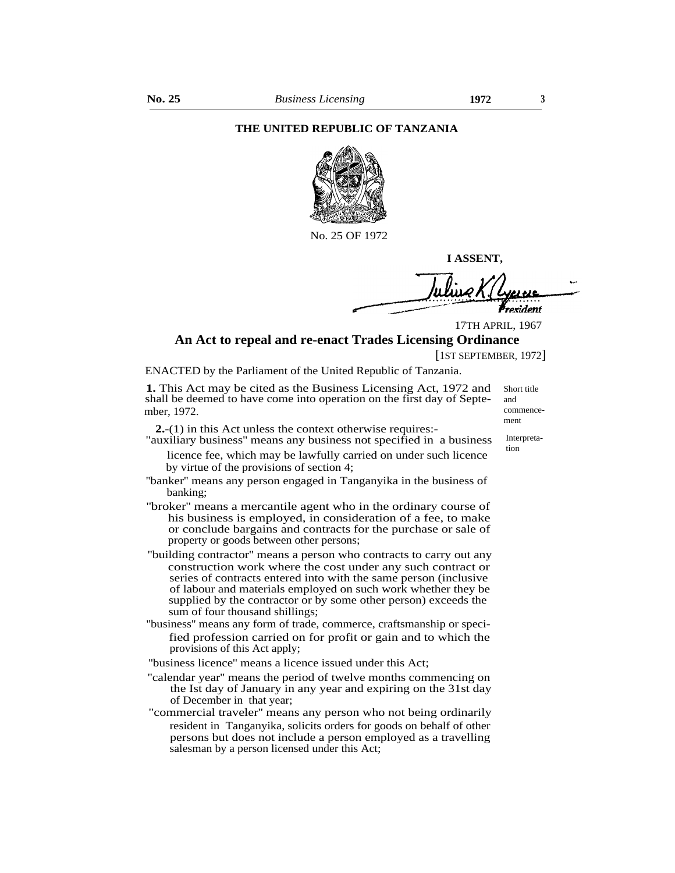#### **THE UNITED REPUBLIC OF TANZANIA**



No. 25 OF 1972

**I ASSENT,**

resident

17TH APRIL, 1967

### **An Act to repeal and re-enact Trades Licensing Ordinance**

[1ST SEPTEMBER, 1972]

ENACTED by the Parliament of the United Republic of Tanzania.

**1.** This Act may be cited as the Business Licensing Act, 1972 and shall be deemed to have come into operation on the first day of September, 1972.

**2.**-(1) in this Act unless the context otherwise requires:-

- "auxiliary business'' means any business not specified in a business licence fee, which may be lawfully carried on under such licence by virtue of the provisions of section 4;
- "banker" means any person engaged in Tanganyika in the business of banking;
- ''broker'' means a mercantile agent who in the ordinary course of his business is employed, in consideration of a fee, to make or conclude bargains and contracts for the purchase or sale of property or goods between other persons;
- ''building contractor'' means a person who contracts to carry out any construction work where the cost under any such contract or series of contracts entered into with the same person (inclusive of labour and materials employed on such work whether they be supplied by the contractor or by some other person) exceeds the sum of four thousand shillings;
- ''business'' means any form of trade, commerce, craftsmanship or specified profession carried on for profit or gain and to which the provisions of this Act apply;
- ''business licence'' means a licence issued under this Act;
- "calendar year" means the period of twelve months commencing on the Ist day of January in any year and expiring on the 31st day of December in that year;
- "commercial traveler'' means any person who not being ordinarily resident in Tanganyika, solicits orders for goods on behalf of other persons but does not include a person employed as a travelling salesman by a person licensed under this Act;

and commencement

Short title

Interpretation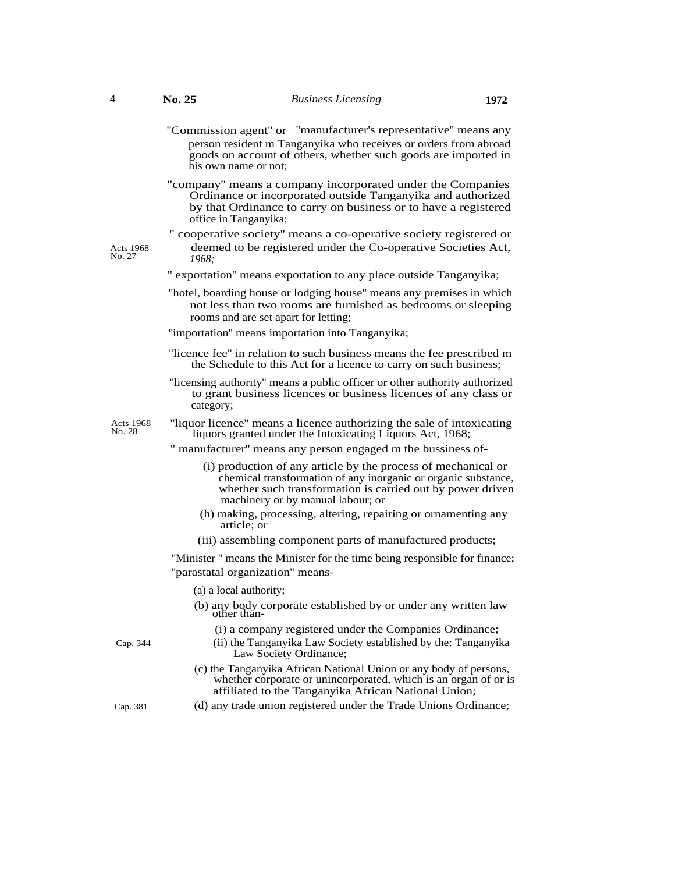|                            | "Commission agent" or "manufacturer's representative" means any<br>person resident m Tanganyika who receives or orders from abroad<br>goods on account of others, whether such goods are imported in<br>his own name or not:       |
|----------------------------|------------------------------------------------------------------------------------------------------------------------------------------------------------------------------------------------------------------------------------|
|                            | "company" means a company incorporated under the Companies<br>Ordinance or incorporated outside Tanganyika and authorized<br>by that Ordinance to carry on business or to have a registered<br>office in Tanganyika;               |
| Acts 1968<br>No. 27        | " cooperative society" means a co-operative society registered or<br>deemed to be registered under the Co-operative Societies Act,<br>1968;                                                                                        |
|                            | " exportation" means exportation to any place outside Tanganyika;                                                                                                                                                                  |
|                            | "hotel, boarding house or lodging house" means any premises in which<br>not less than two rooms are furnished as bedrooms or sleeping<br>rooms and are set apart for letting;                                                      |
|                            | "importation" means importation into Tanganyika;                                                                                                                                                                                   |
|                            | "licence fee" in relation to such business means the fee prescribed m<br>the Schedule to this Act for a licence to carry on such business;                                                                                         |
|                            | "licensing authority" means a public officer or other authority authorized<br>to grant business licences or business licences of any class or<br>category;                                                                         |
| <b>Acts 1968</b><br>No. 28 | "liquor licence" means a licence authorizing the sale of intoxicating<br>liquors granted under the Intoxicating Liquors Act, 1968;                                                                                                 |
|                            | " manufacturer" means any person engaged m the bussiness of-                                                                                                                                                                       |
|                            | (i) production of any article by the process of mechanical or<br>chemical transformation of any inorganic or organic substance,<br>whether such transformation is carried out by power driven<br>machinery or by manual labour; or |
|                            | (h) making, processing, altering, repairing or ornamenting any<br>article; or                                                                                                                                                      |
|                            | (iii) assembling component parts of manufactured products;                                                                                                                                                                         |
|                            | "Minister" means the Minister for the time being responsible for finance;                                                                                                                                                          |
|                            | "parastatal organization" means-                                                                                                                                                                                                   |
|                            | (a) a local authority;                                                                                                                                                                                                             |
|                            | (b) any body corporate established by or under any written law<br>other thán-                                                                                                                                                      |
| Cap. 344                   | (i) a company registered under the Companies Ordinance;<br>(ii) the Tanganyika Law Society established by the: Tanganyika<br>Law Society Ordinance;                                                                                |
|                            | (c) the Tanganyika African National Union or any body of persons,<br>whether corporate or unincorporated, which is an organ of or is<br>affiliated to the Tanganyika African National Union;                                       |

Cap. 381 (d) any trade union registered under the Trade Unions Ordinance;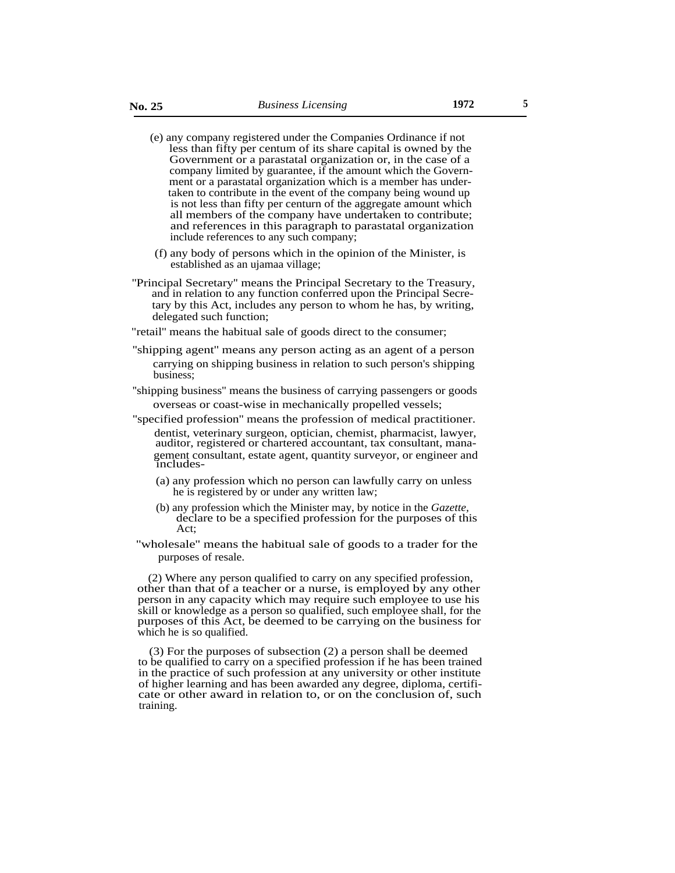- (e) any company registered under the Companies Ordinance if not less than fifty per centum of its share capital is owned by the Government or a parastatal organization or, in the case of a company limited by guarantee, if the amount which the Government or a parastatal organization which is a member has undertaken to contribute in the event of the company being wound up is not less than fifty per centurn of the aggregate amount which all members of the company have undertaken to contribute; and references in this paragraph to parastatal organization include references to any such company;
- (f) any body of persons which in the opinion of the Minister, is established as an ujamaa village;
- ''Principal Secretary'' means the Principal Secretary to the Treasury, and in relation to any function conferred upon the Principal Secretary by this Act, includes any person to whom he has, by writing, delegated such function;
- "retail'' means the habitual sale of goods direct to the consumer;
- ''shipping agent'' means any person acting as an agent of a person carrying on shipping business in relation to such person's shipping business;
- ''shipping business'' means the business of carrying passengers or goods overseas or coast-wise in mechanically propelled vessels;
- ''specified profession'' means the profession of medical practitioner. dentist, veterinary surgeon, optician, chemist, pharmacist, lawyer, auditor, registered or chartered accountant, tax consultant, management consultant, estate agent, quantity surveyor, or engineer and includes-
	- (a) any profession which no person can lawfully carry on unless he is registered by or under any written law;
	- (b) any profession which the Minister may, by notice in the *Gazette,* declare to be a specified profession for the purposes of this Act;
- ''wholesale'' means the habitual sale of goods to a trader for the purposes of resale.

(2) Where any person qualified to carry on any specified profession, other than that of a teacher or a nurse, is employed by any other person in any capacity which may require such employee to use his skill or knowledge as a person so qualified, such employee shall, for the purposes of this Act, be deemed to be carrying on the business for which he is so qualified.

(3) For the purposes of subsection (2) a person shall be deemed to be qualified to carry on a specified profession if he has been trained in the practice of such profession at any university or other institute of higher learning and has been awarded any degree, diploma, certificate or other award in relation to, or on the conclusion of, such training.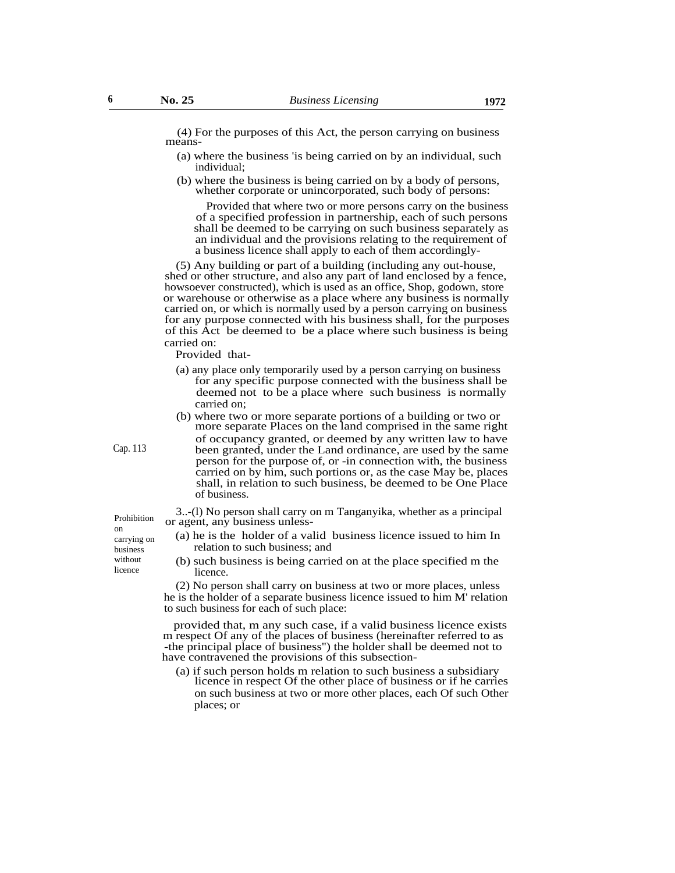(4) For the purposes of this Act, the person carrying on business means-

- (a) where the business 'is being carried on by an individual, such individual;
- (b) where the business is being carried on by a body of persons, whether corporate or unincorporated, such body of persons:

Provided that where two or more persons carry on the business of a specified profession in partnership, each of such persons shall be deemed to be carrying on such business separately as an individual and the provisions relating to the requirement of a business licence shall apply to each of them accordingly-

(5) Any building or part of a building (including any out-house, shed or other structure, and also any part of land enclosed by a fence, howsoever constructed), which is used as an office, Shop, godown, store or warehouse or otherwise as a place where any business is normally carried on, or which is normally used by a person carrying on business for any purpose connected with his business shall, for the purposes of this Act be deemed to be a place where such business is being carried on:

Provided that-

- (a) any place only temporarily used by a person carrying on business for any specific purpose connected with the business shall be deemed not to be a place where such business is normally carried on;
- (b) where two or more separate portions of a building or two or more separate Places on the land comprised in the same right of occupancy granted, or deemed by any written law to have been granted, under the Land ordinance, are used by the same person for the purpose of, or -in connection with, the business carried on by him, such portions or, as the case May be, places shall, in relation to such business, be deemed to be One Place of business.

3..-(l) No person shall carry on m Tanganyika, whether as a principal or agent, any business unless-

- (a) he is the holder of a valid business licence issued to him In relation to such business; and
- (b) such business is being carried on at the place specified m the licence.

(2) No person shall carry on business at two or more places, unless he is the holder of a separate business licence issued to him M' relation to such business for each of such place:

provided that, m any such case, if a valid business licence exists m respect Of any of the places of business (hereinafter referred to as -the principal place of business'') the holder shall be deemed not to have contravened the provisions of this subsection-

(a) if such person holds m relation to such business a subsidiary licence in respect Of the other place of business or if he carries on such business at two or more other places, each Of such Other places; or

Prohibition on carrying on business without licence

Cap. 113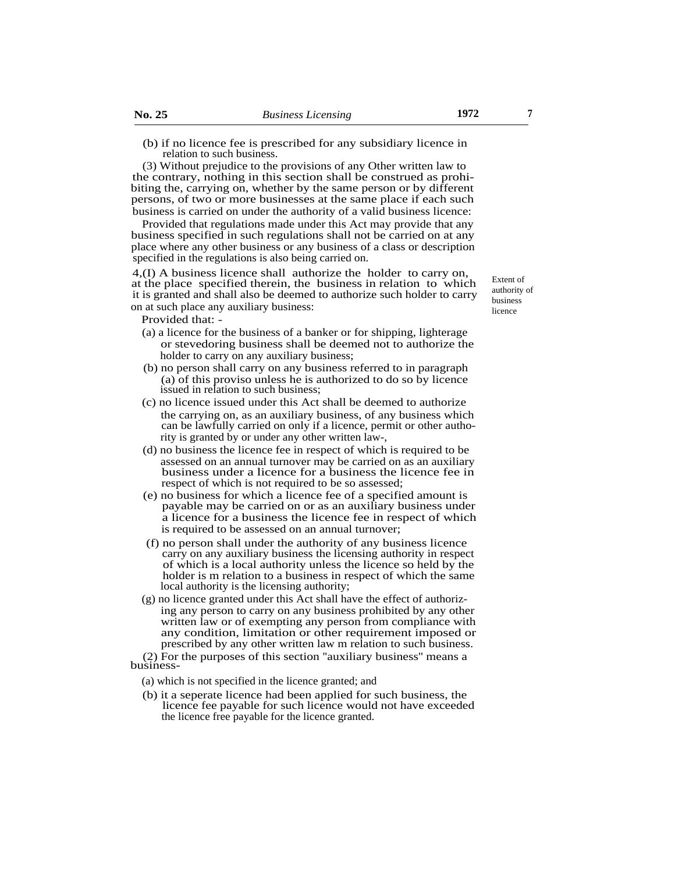relation to such business.

(3) Without prejudice to the provisions of any Other written law to the contrary, nothing in this section shall be construed as prohibiting the, carrying on, whether by the same person or by different persons, of two or more businesses at the same place if each such business is carried on under the authority of a valid business licence:

Provided that regulations made under this Act may provide that any business specified in such regulations shall not be carried on at any place where any other business or any business of a class or description specified in the regulations is also being carried on.

4,(I) A business licence shall authorize the holder to carry on, at the place specified therein, the business in relation to which it is granted and shall also be deemed to authorize such holder to carry on at such place any auxiliary business:

Provided that: -

- (a) a licence for the business of a banker or for shipping, lighterage or stevedoring business shall be deemed not to authorize the holder to carry on any auxiliary business;
- (b) no person shall carry on any business referred to in paragraph (a) of this proviso unless he is authorized to do so by licence issued in relation to such business;
- (c) no licence issued under this Act shall be deemed to authorize the carrying on, as an auxiliary business, of any business which can be lawfully carried on only if a licence, permit or other authority is granted by or under any other written law-,
- (d) no business the licence fee in respect of which is required to be assessed on an annual turnover may be carried on as an auxiliary business under a licence for a business the licence fee in respect of which is not required to be so assessed;
- (e) no business for which a licence fee of a specified amount is payable may be carried on or as an auxiliary business under a licence for a business the licence fee in respect of which is required to be assessed on an annual turnover;
- (f) no person shall under the authority of any business licence carry on any auxiliary business the licensing authority in respect of which is a local authority unless the licence so held by the holder is m relation to a business in respect of which the same local authority is the licensing authority;
- (g) no licence granted under this Act shall have the effect of authorizing any person to carry on any business prohibited by any other written law or of exempting any person from compliance with any condition, limitation or other requirement imposed or prescribed by any other written law m relation to such business.
- (2) For the purposes of this section ''auxiliary business'' means a business-
	- (a) which is not specified in the licence granted; and
	- (b) it a seperate licence had been applied for such business, the licence fee payable for such licence would not have exceeded the licence free payable for the licence granted.

Extent of authority of business licence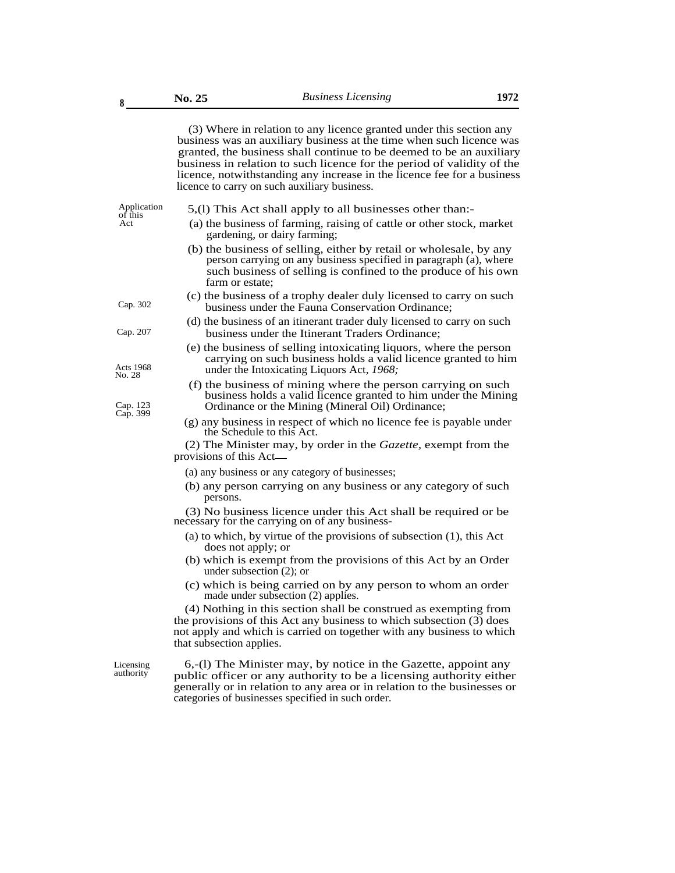(3) Where in relation to any licence granted under this section any business was an auxiliary business at the time when such licence was granted, the business shall continue to be deemed to be an auxiliary business in relation to such licence for the period of validity of the licence, notwithstanding any increase in the licence fee for a business licence to carry on such auxiliary business.

Act

- Application 5,(1) This Act shall apply to all businesses other than:-<br>of this
	- (a) the business of farming, raising of cattle or other stock, market gardening, or dairy farming;
	- (b) the business of selling, either by retail or wholesale, by any person carrying on any business specified in paragraph (a), where such business of selling is confined to the produce of his own farm or estate;
- (c) the business of a trophy dealer duly licensed to carry on such Cap. 302 business under the Fauna Conservation Ordinance;
- (d) the business of an itinerant trader duly licensed to carry on such Cap. 207 business under the Itinerant Traders Ordinance;
- (e) the business of selling intoxicating liquors, where the person carrying on such business holds a valid licence granted to him Acts 1968 under the Intoxicating Liquors Act, 1968;<br>No. 28
	- (f) the business of mining where the person carrying on such business holds a valid licence granted to him under the Mining Ordinance or the Mining (Mineral Oil) Ordinance;
	- (g) any business in respect of which no licence fee is payable under the Schedule to this Act.

(2) The Minister may, by order in the *Gazette,* exempt from the provisions of this Act

- (a) any business or any category of businesses;
- (b) any person carrying on any business or any category of such persons.

(3) No business licence under this Act shall be required or be necessary for the carrying on of any business-

- (a) to which, by virtue of the provisions of subsection (1), this Act does not apply; or
- (b) which is exempt from the provisions of this Act by an Order under subsection (2); or
- (c) which is being carried on by any person to whom an order made under subsection (2) applies.

(4) Nothing in this section shall be construed as exempting from the provisions of this Act any business to which subsection (3) does not apply and which is carried on together with any business to which that subsection applies.

Licensing authority

6,-(l) The Minister may, by notice in the Gazette, appoint any public officer or any authority to be a licensing authority either generally or in relation to any area or in relation to the businesses or categories of businesses specified in such order.

Cap. 123<br>Cap. 399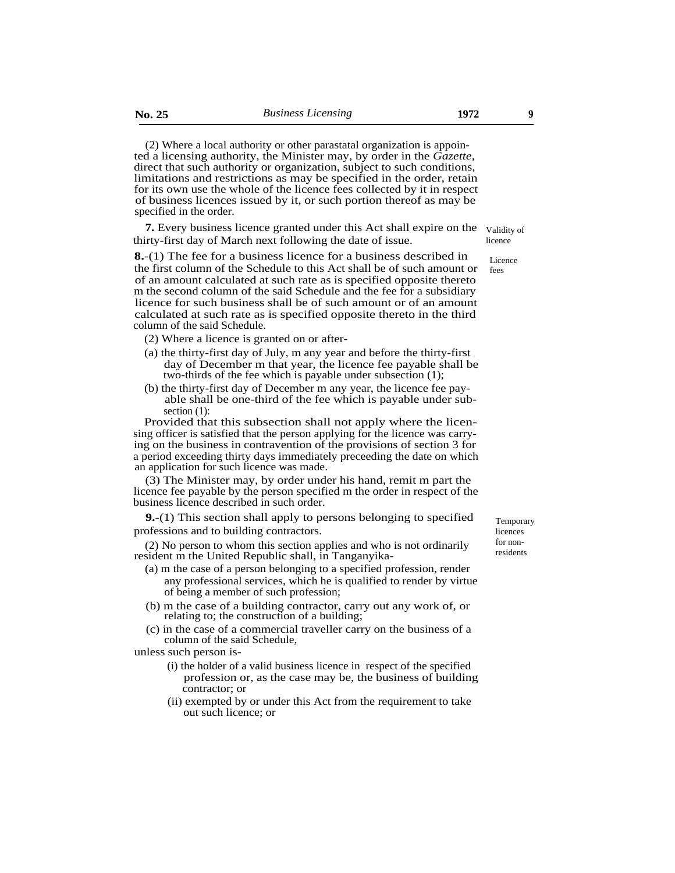(2) Where a local authority or other parastatal organization is appointed a licensing authority, the Minister may, by order in the *Gazette,* direct that such authority or organization, subject to such conditions, limitations and restrictions as may be specified in the order, retain for its own use the whole of the licence fees collected by it in respect of business licences issued by it, or such portion thereof as may be specified in the order.

**7.** Every business licence granted under this Act shall expire on the validity of thirty-first day of March next following the date of issue.

**8.**-(1) The fee for a business licence for a business described in the first column of the Schedule to this Act shall be of such amount or of an amount calculated at such rate as is specified opposite thereto m the second column of the said Schedule and the fee for a subsidiary licence for such business shall be of such amount or of an amount calculated at such rate as is specified opposite thereto in the third column of the said Schedule.

- (2) Where a licence is granted on or after-
- (a) the thirty-first day of July, m any year and before the thirty-first day of December m that year, the licence fee payable shall be two-thirds of the fee which is payable under subsection (1);
- (b) the thirty-first day of December m any year, the licence fee payable shall be one-third of the fee which is payable under subsection  $(1)$ :

Provided that this subsection shall not apply where the licensing officer is satisfied that the person applying for the licence was carrying on the business in contravention of the provisions of section 3 for a period exceeding thirty days immediately preceeding the date on which an application for such licence was made.

(3) The Minister may, by order under his hand, remit m part the licence fee payable by the person specified m the order in respect of the business licence described in such order.

**9.**-(1) This section shall apply to persons belonging to specified professions and to building contractors.

(2) No person to whom this section applies and who is not ordinarily resident m the United Republic shall, in Tanganyika-

- (a) m the case of a person belonging to a specified profession, render any professional services, which he is qualified to render by virtue of being a member of such profession;
- (b) m the case of a building contractor, carry out any work of, or relating to; the construction of a building;
- (c) in the case of a commercial traveller carry on the business of a column of the said Schedule,

unless such person is-

- (i) the holder of a valid business licence in respect of the specified profession or, as the case may be, the business of building contractor; or
- (ii) exempted by or under this Act from the requirement to take out such licence; or

Temporary licences for nonresidents

licence Licence

fees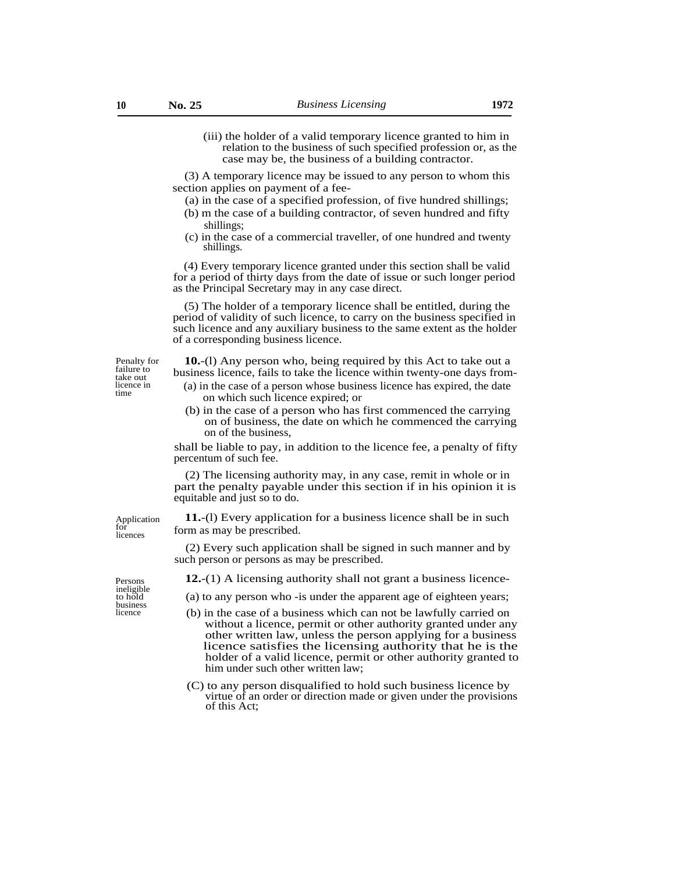(iii) the holder of a valid temporary licence granted to him in relation to the business of such specified profession or, as the case may be, the business of a building contractor.

(3) A temporary licence may be issued to any person to whom this section applies on payment of a fee-

- (a) in the case of a specified profession, of five hundred shillings;
- (b) m the case of a building contractor, of seven hundred and fifty shillings;
- (c) in the case of a commercial traveller, of one hundred and twenty shillings.

(4) Every temporary licence granted under this section shall be valid for a period of thirty days from the date of issue or such longer period as the Principal Secretary may in any case direct.

(5) The holder of a temporary licence shall be entitled, during the period of validity of such licence, to carry on the business specified in such licence and any auxiliary business to the same extent as the holder of a corresponding business licence.

Penalty for **10.**-(l) Any person who, being required by this Act to take out a failure to business licence, fails to take the licence within twenty-one days from-<br>take out the case of a person whose business licence has expired the date

- licence in (a) in the case of a person whose business licence has expired, the date on which such licence expired; or
	- (b) in the case of a person who has first commenced the carrying on of business, the date on which he commenced the carrying on of the business,

shall be liable to pay, in addition to the licence fee, a penalty of fifty percentum of such fee.

(2) The licensing authority may, in any case, remit in whole or in part the penalty payable under this section if in his opinion it is equitable and just so to do.

**11.**-(l) Every application for a business licence shall be in such form as may be prescribed.

(2) Every such application shall be signed in such manner and by such person or persons as may be prescribed.

**12.**-(1) A licensing authority shall not grant a business licence-

- (a) to any person who -is under the apparent age of eighteen years;
- (b) in the case of a business which can not be lawfully carried on without a licence, permit or other authority granted under any other written law, unless the person applying for a business licence satisfies the licensing authority that he is the holder of a valid licence, permit or other authority granted to him under such other written law;
- (C) to any person disqualified to hold such business licence by virtue of an order or direction made or given under the provisions of this Act;

Persons ineligible to hold business<br>licence

Application for licences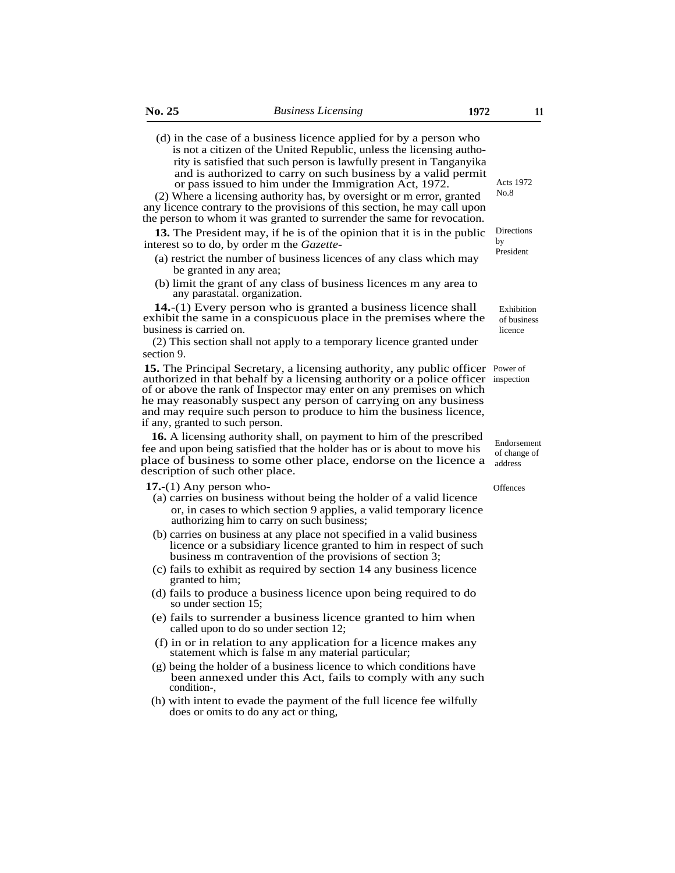(d) in the case of a business licence applied for by a person who is not a citizen of the United Republic, unless the licensing authority is satisfied that such person is lawfully present in Tanganyika and is authorized to carry on such business by a valid permit or pass issued to him under the Immigration Act, 1972.

(2) Where a licensing authority has, by oversight or m error, granted any licence contrary to the provisions of this section, he may call upon the person to whom it was granted to surrender the same for revocation.

**13.** The President may, if he is of the opinion that it is in the public interest so to do, by order m the *Gazette-*

- (a) restrict the number of business licences of any class which may be granted in any area;
- (b) limit the grant of any class of business licences m any area to any parastatal. organization.

**14.**-(1) Every person who is granted a business licence shall exhibit the same in a conspicuous place in the premises where the business is carried on.

(2) This section shall not apply to a temporary licence granted under section 9.

15. The Principal Secretary, a licensing authority, any public officer Power of authorized in that behalf by a licensing authority or a police officer inspection of or above the rank of Inspector may enter on any premises on which he may reasonably suspect any person of carrying on any business and may require such person to produce to him the business licence, if any, granted to such person.

**16.** A licensing authority shall, on payment to him of the prescribed fee and upon being satisfied that the holder has or is about to move his place of business to some other place, endorse on the licence a description of such other place.

**17.**-(1) Any person who-

- (a) carries on business without being the holder of a valid licence or, in cases to which section 9 applies, a valid temporary licence authorizing him to carry on such business;
- (b) carries on business at any place not specified in a valid business licence or a subsidiary licence granted to him in respect of such business m contravention of the provisions of section 3;
- (c) fails to exhibit as required by section 14 any business licence granted to him;
- (d) fails to produce a business licence upon being required to do so under section 15;
- (e) fails to surrender a business licence granted to him when called upon to do so under section 12;
- (f) in or in relation to any application for a licence makes any statement which is false m any material particular;
- (g) being the holder of a business licence to which conditions have been annexed under this Act, fails to comply with any such condition-,
- (h) with intent to evade the payment of the full licence fee wilfully does or omits to do any act or thing,

Acts 1972 No.8

Directions by President

Exhibition of business licence

Endorsement of change of address

**Offences**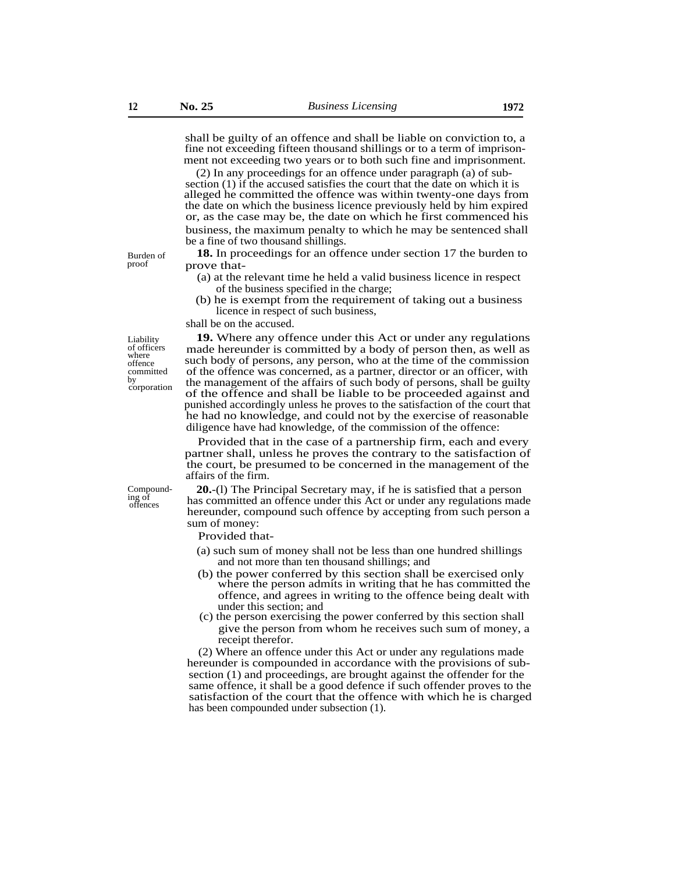shall be guilty of an offence and shall be liable on conviction to, a fine not exceeding fifteen thousand shillings or to a term of imprisonment not exceeding two years or to both such fine and imprisonment.

(2) In any proceedings for an offence under paragraph (a) of subsection (1) if the accused satisfies the court that the date on which it is alleged he committed the offence was within twenty-one days from the date on which the business licence previously held by him expired or, as the case may be, the date on which he first commenced his business, the maximum penalty to which he may be sentenced shall be a fine of two thousand shillings.

- Burden of **18.** In proceedings for an offence under section 17 the burden to proof **17** the burden to prove that-
	- (a) at the relevant time he held a valid business licence in respect of the business specified in the charge;
	- (b) he is exempt from the requirement of taking out a business licence in respect of such business,

shall be on the accused.

Liability of officers where offence committed by corporation

**19.** Where any offence under this Act or under any regulations made hereunder is committed by a body of person then, as well as such body of persons, any person, who at the time of the commission of the offence was concerned, as a partner, director or an officer, with the management of the affairs of such body of persons, shall be guilty of the offence and shall be liable to be proceeded against and punished accordingly unless he proves to the satisfaction of the court that he had no knowledge, and could not by the exercise of reasonable diligence have had knowledge, of the commission of the offence:

Provided that in the case of a partnership firm, each and every partner shall, unless he proves the contrary to the satisfaction of the court, be presumed to be concerned in the management of the affairs of the firm.

Compounding of offences

**20.**-(l) The Principal Secretary may, if he is satisfied that a person has committed an offence under this Act or under any regulations made hereunder, compound such offence by accepting from such person a sum of money:

Provided that-

- (a) such sum of money shall not be less than one hundred shillings and not more than ten thousand shillings; and
- (b) the power conferred by this section shall be exercised only where the person admits in writing that he has committed the offence, and agrees in writing to the offence being dealt with under this section; and
- (c) the person exercising the power conferred by this section shall give the person from whom he receives such sum of money, a receipt therefor.

(2) Where an offence under this Act or under any regulations made hereunder is compounded in accordance with the provisions of subsection (1) and proceedings, are brought against the offender for the same offence, it shall be a good defence if such offender proves to the satisfaction of the court that the offence with which he is charged has been compounded under subsection (1).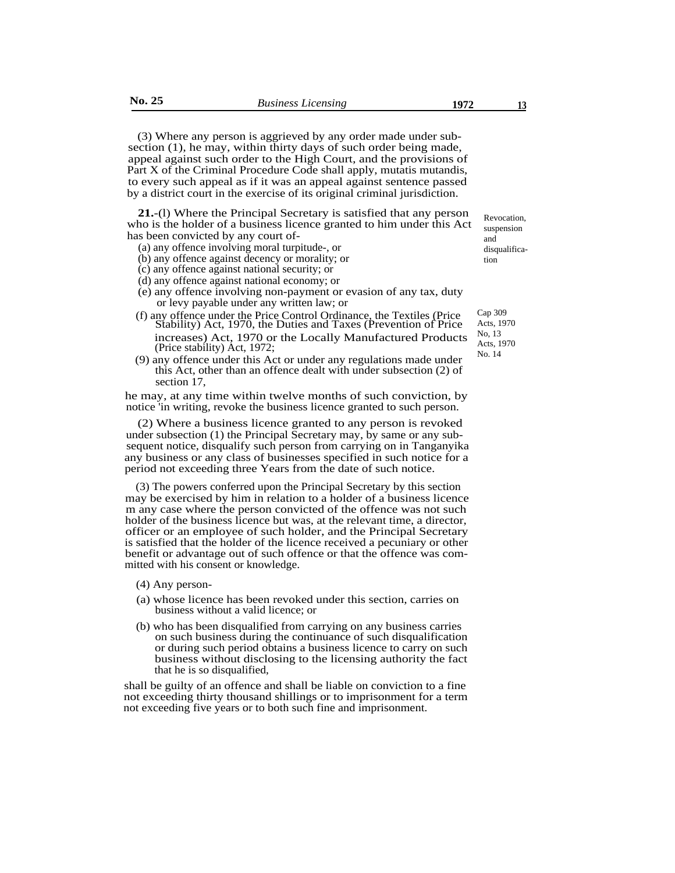(3) Where any person is aggrieved by any order made under subsection (1), he may, within thirty days of such order being made, appeal against such order to the High Court, and the provisions of Part X of the Criminal Procedure Code shall apply, mutatis mutandis, to every such appeal as if it was an appeal against sentence passed by a district court in the exercise of its original criminal jurisdiction.

**21.**-(l) Where the Principal Secretary is satisfied that any person who is the holder of a business licence granted to him under this Act has been convicted by any court of-

- (a) any offence involving moral turpitude-, or
- (b) any offence against decency or morality; or
- (c) any offence against national security; or
- (d) any offence against national economy; or
- (e) any offence involving non-payment or evasion of any tax, duty or levy payable under any written law; or
- (f) any offence under the Price Control Ordinance, the Textiles (Price Stability) Act, 1970, the Duties and Taxes (Prevention of Price increases) Act, 1970 or the Locally Manufactured Products (Price stability) Act, 1972;
- (9) any offence under this Act or under any regulations made under this Act, other than an offence dealt with under subsection (2) of section 17,

he may, at any time within twelve months of such conviction, by notice 'in writing, revoke the business licence granted to such person.

(2) Where a business licence granted to any person is revoked under subsection (1) the Principal Secretary may, by same or any subsequent notice, disqualify such person from carrying on in Tanganyika any business or any class of businesses specified in such notice for a period not exceeding three Years from the date of such notice.

(3) The powers conferred upon the Principal Secretary by this section may be exercised by him in relation to a holder of a business licence m any case where the person convicted of the offence was not such holder of the business licence but was, at the relevant time, a director, officer or an employee of such holder, and the Principal Secretary is satisfied that the holder of the licence received a pecuniary or other benefit or advantage out of such offence or that the offence was committed with his consent or knowledge.

- (4) Any person-
- (a) whose licence has been revoked under this section, carries on business without a valid licence; or
- (b) who has been disqualified from carrying on any business carries on such business during the continuance of such disqualification or during such period obtains a business licence to carry on such business without disclosing to the licensing authority the fact that he is so disqualified,

shall be guilty of an offence and shall be liable on conviction to a fine not exceeding thirty thousand shillings or to imprisonment for a term not exceeding five years or to both such fine and imprisonment.

Revocation, suspension and disqualification

Cap 309 Acts, 1970 No, 13 Acts, 1970 No. 14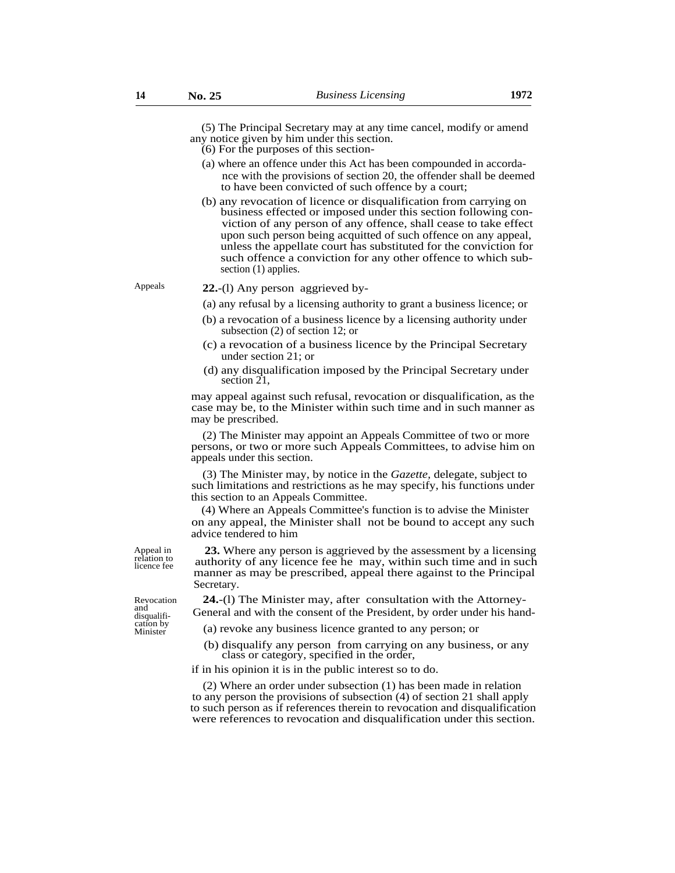(5) The Principal Secretary may at any time cancel, modify or amend any notice given by him under this section.

- (6) For the purposes of this section-
- (a) where an offence under this Act has been compounded in accordance with the provisions of section 20, the offender shall be deemed to have been convicted of such offence by a court;
- (b) any revocation of licence or disqualification from carrying on business effected or imposed under this section following conviction of any person of any offence, shall cease to take effect upon such person being acquitted of such offence on any appeal, unless the appellate court has substituted for the conviction for such offence a conviction for any other offence to which subsection (1) applies.

#### Appeals **22.**-(l) Any person aggrieved by-

- (a) any refusal by a licensing authority to grant a business licence; or
- (b) a revocation of a business licence by a licensing authority under subsection (2) of section 12; or
- (c) a revocation of a business licence by the Principal Secretary under section 21; or
- (d) any disqualification imposed by the Principal Secretary under section 21,

may appeal against such refusal, revocation or disqualification, as the case may be, to the Minister within such time and in such manner as may be prescribed.

(2) The Minister may appoint an Appeals Committee of two or more persons, or two or more such Appeals Committees, to advise him on appeals under this section.

(3) The Minister may, by notice in the *Gazette,* delegate, subject to such limitations and restrictions as he may specify, his functions under this section to an Appeals Committee.

(4) Where an Appeals Committee's function is to advise the Minister on any appeal, the Minister shall not be bound to accept any such advice tendered to him

Appeal in relation to licence fee

**23.** Where any person is aggrieved by the assessment by a licensing authority of any licence fee he may, within such time and in such manner as may be prescribed, appeal there against to the Principal Secretary.

**24.**-(l) The Minister may, after consultation with the Attorney-General and with the consent of the President, by order under his hand-

(a) revoke any business licence granted to any person; or

(b) disqualify any person from carrying on any business, or any class or category, specified in the order,

if in his opinion it is in the public interest so to do.

(2) Where an order under subsection (1) has been made in relation to any person the provisions of subsection (4) of section 21 shall apply to such person as if references therein to revocation and disqualification were references to revocation and disqualification under this section.

Revocation and disqualifi-

cation by<br>Minister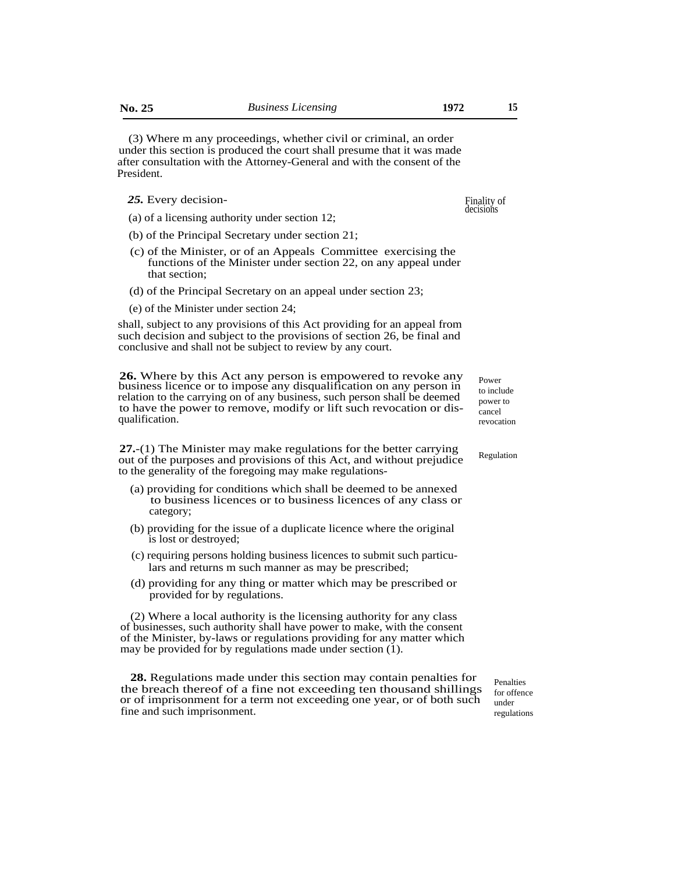(3) Where m any proceedings, whether civil or criminal, an order under this section is produced the court shall presume that it was made after consultation with the Attorney-General and with the consent of the President.

- *25.* Every decision-
- (a) of a licensing authority under section 12;
- (b) of the Principal Secretary under section 21;
- (c) of the Minister, or of an Appeals Committee exercising the functions of the Minister under section 22, on any appeal under that section;
- (d) of the Principal Secretary on an appeal under section 23;
- (e) of the Minister under section 24;

shall, subject to any provisions of this Act providing for an appeal from such decision and subject to the provisions of section 26, be final and conclusive and shall not be subject to review by any court.

**26.** Where by this Act any person is empowered to revoke any business licence or to impose any disqualification on any person in relation to the carrying on of any business, such person shall be deemed to have the power to remove, modify or lift such revocation or disqualification.

**27.**-(1) The Minister may make regulations for the better carrying out of the purposes and provisions of this Act, and without prejudice to the generality of the foregoing may make regulations-

- (a) providing for conditions which shall be deemed to be annexed to business licences or to business licences of any class or category;
- (b) providing for the issue of a duplicate licence where the original is lost or destroyed;
- (c) requiring persons holding business licences to submit such particulars and returns m such manner as may be prescribed;
- (d) providing for any thing or matter which may be prescribed or provided for by regulations.

(2) Where a local authority is the licensing authority for any class of businesses, such authority shall have power to make, with the consent of the Minister, by-laws or regulations providing for any matter which may be provided for by regulations made under section (1).

**28.** Regulations made under this section may contain penalties for the breach thereof of a fine not exceeding ten thousand shillings or of imprisonment for a term not exceeding one year, or of both such fine and such imprisonment.

Penalties for offence under regulations

Power to include power to cancel revocation

Regulation

Finality of decisions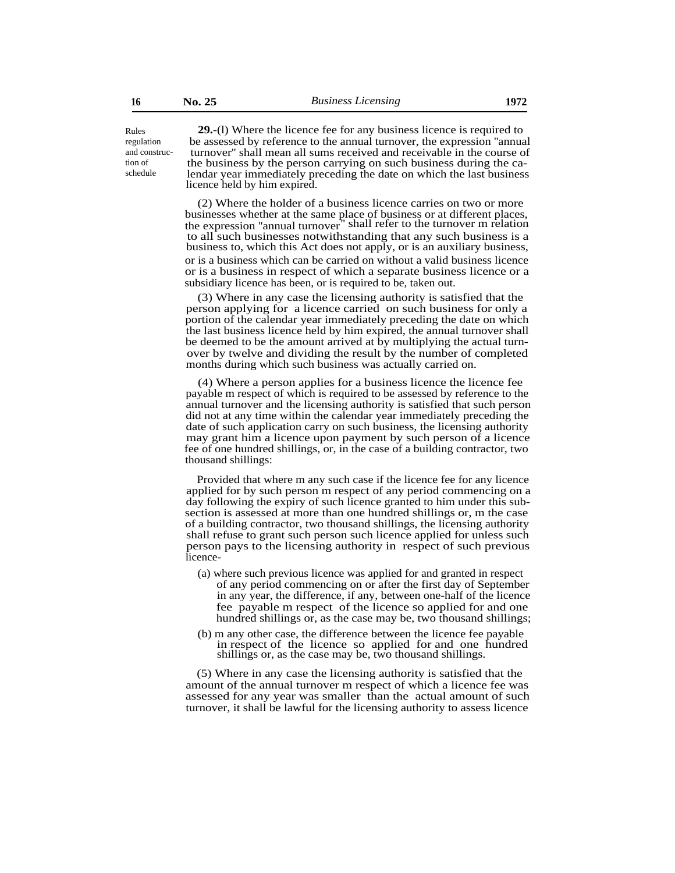Rules regulation and construction of schedule

**29.**-(l) Where the licence fee for any business licence is required to be assessed by reference to the annual turnover, the expression ''annual turnover'' shall mean all sums received and receivable in the course of the business by the person carrying on such business during the calendar year immediately preceding the date on which the last business licence held by him expired.

(2) Where the holder of a business licence carries on two or more businesses whether at the same place of business or at different places, the expression ''annual turnover'' shall refer to the turnover m relation to all such businesses notwithstanding that any such business is a business to, which this Act does not apply, or is an auxiliary business, or is a business which can be carried on without a valid business licence or is a business in respect of which a separate business licence or a subsidiary licence has been, or is required to be, taken out.

(3) Where in any case the licensing authority is satisfied that the person applying for a licence carried on such business for only a portion of the calendar year immediately preceding the date on which the last business licence held by him expired, the annual turnover shall be deemed to be the amount arrived at by multiplying the actual turnover by twelve and dividing the result by the number of completed months during which such business was actually carried on.

(4) Where a person applies for a business licence the licence fee payable m respect of which is required to be assessed by reference to the annual turnover and the licensing authority is satisfied that such person did not at any time within the calendar year immediately preceding the date of such application carry on such business, the licensing authority may grant him a licence upon payment by such person of a licence fee of one hundred shillings, or, in the case of a building contractor, two thousand shillings:

Provided that where m any such case if the licence fee for any licence applied for by such person m respect of any period commencing on a day following the expiry of such licence granted to him under this subsection is assessed at more than one hundred shillings or, m the case of a building contractor, two thousand shillings, the licensing authority shall refuse to grant such person such licence applied for unless such person pays to the licensing authority in respect of such previous licence-

- (a) where such previous licence was applied for and granted in respect of any period commencing on or after the first day of September in any year, the difference, if any, between one-half of the licence fee payable m respect of the licence so applied for and one hundred shillings or, as the case may be, two thousand shillings;
- (b) m any other case, the difference between the licence fee payable in respect of the licence so applied for and one hundred shillings or, as the case may be, two thousand shillings.

(5) Where in any case the licensing authority is satisfied that the amount of the annual turnover m respect of which a licence fee was assessed for any year was smaller than the actual amount of such turnover, it shall be lawful for the licensing authority to assess licence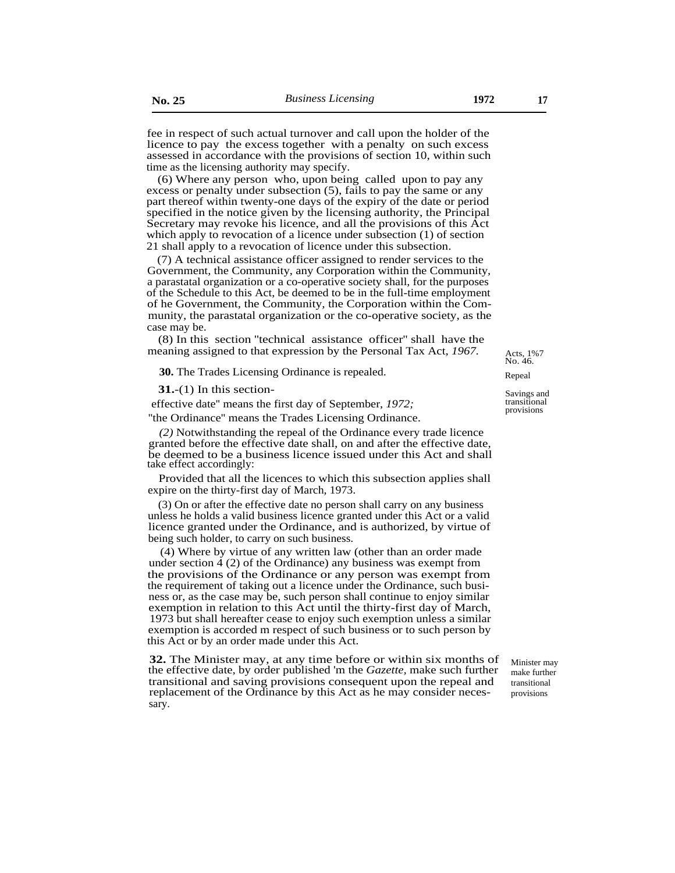fee in respect of such actual turnover and call upon the holder of the licence to pay the excess together with a penalty on such excess assessed in accordance with the provisions of section 10, within such time as the licensing authority may specify.

(6) Where any person who, upon being called upon to pay any excess or penalty under subsection (5), fails to pay the same or any part thereof within twenty-one days of the expiry of the date or period specified in the notice given by the licensing authority, the Principal Secretary may revoke his licence, and all the provisions of this Act which apply to revocation of a licence under subsection (1) of section 21 shall apply to a revocation of licence under this subsection.

(7) A technical assistance officer assigned to render services to the Government, the Community, any Corporation within the Community, a parastatal organization or a co-operative society shall, for the purposes of the Schedule to this Act, be deemed to be in the full-time employment of he Government, the Community, the Corporation within the Community, the parastatal organization or the co-operative society, as the case may be.

(8) In this section ''technical assistance officer'' shall have the meaning assigned to that expression by the Personal Tax Act, 1967. Acts. 1%7

**30.** The Trades Licensing Ordinance is repealed. Repeal

**31.**-(1) In this section-

effective date'' means the first day of September, *1972;*

''the Ordinance'' means the Trades Licensing Ordinance.

*(2)* Notwithstanding the repeal of the Ordinance every trade licence granted before the effective date shall, on and after the effective date, be deemed to be a business licence issued under this Act and shall take effect accordingly:

Provided that all the licences to which this subsection applies shall expire on the thirty-first day of March, 1973.

(3) On or after the effective date no person shall carry on any business unless he holds a valid business licence granted under this Act or a valid licence granted under the Ordinance, and is authorized, by virtue of being such holder, to carry on such business.

(4) Where by virtue of any written law (other than an order made under section 4 (2) of the Ordinance) any business was exempt from the provisions of the Ordinance or any person was exempt from the requirement of taking out a licence under the Ordinance, such business or, as the case may be, such person shall continue to enjoy similar exemption in relation to this Act until the thirty-first day of March, 1973 but shall hereafter cease to enjoy such exemption unless a similar exemption is accorded m respect of such business or to such person by this Act or by an order made under this Act.

**32.** The Minister may, at any time before or within six months of the effective date, by order published 'm the *Gazette,* make such further transitional and saving provisions consequent upon the repeal and replacement of the Ordinance by this Act as he may consider necessary.

No. 46.

Savings and transitional provisions

Minister may make further transitional provisions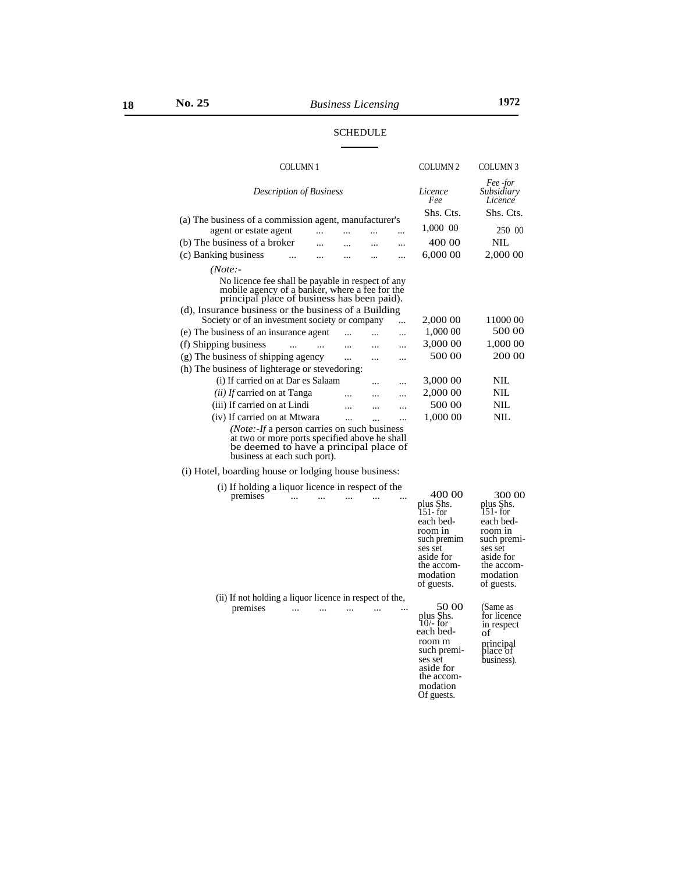| <b>COLUMN1</b>                                                                                                                                                                 |           |  |  | <b>COLUMN 2</b> | <b>COLUMN3</b>                    |
|--------------------------------------------------------------------------------------------------------------------------------------------------------------------------------|-----------|--|--|-----------------|-----------------------------------|
| <i>Description of Business</i>                                                                                                                                                 |           |  |  | Licence<br>Fee  | Fee -for<br>Subsidiary<br>Licence |
| (a) The business of a commission agent, manufacturer's                                                                                                                         |           |  |  | Shs. Cts.       | Shs. Cts.                         |
| agent or estate agent                                                                                                                                                          |           |  |  | 1,000 00        | 250 00                            |
| (b) The business of a broker                                                                                                                                                   |           |  |  | 400 00          | NIL.                              |
| (c) Banking business                                                                                                                                                           |           |  |  | 6,000 00        | 2,000 00                          |
| $(Note: -]$                                                                                                                                                                    |           |  |  |                 |                                   |
| No licence fee shall be payable in respect of any<br>mobile agency of a banker, where a fee for the<br>principal place of business has been paid).                             |           |  |  |                 |                                   |
| (d), Insurance business or the business of a Building                                                                                                                          |           |  |  |                 |                                   |
| Society or of an investment society or company<br>$\ddotsc$                                                                                                                    |           |  |  | 2,000 00        | 11000 00                          |
| (e) The business of an insurance agent                                                                                                                                         |           |  |  | 1,000 00        | 500 00                            |
| (f) Shipping business<br>$\ddotsc$                                                                                                                                             |           |  |  | 3,000 00        | 1,000 00                          |
| (g) The business of shipping agency                                                                                                                                            |           |  |  | 500 00          | 200 00                            |
| (h) The business of lighterage or steved oring:                                                                                                                                |           |  |  |                 |                                   |
| (i) If carried on at Dar es Salaam                                                                                                                                             |           |  |  | 3,000 00        | NIL                               |
| <i>(ii)</i> If carried on at Tanga                                                                                                                                             |           |  |  | 2,000 00        | NIL                               |
| (iii) If carried on at Lindi                                                                                                                                                   |           |  |  | 500 00          | NIL                               |
| (iv) If carried on at Mtwara                                                                                                                                                   | $\ddotsc$ |  |  | 1,000 00        | NIL                               |
| ( <i>Note:-If</i> a person carries on such business<br>at two or more ports specified above he shall<br>be deemed to have a principal place of<br>business at each such port). |           |  |  |                 |                                   |

(i) Hotel, boarding house or lodging house business:

| (i) If holding a liquor licence in respect of the                   |                                                                                                                                        |                                                                                                                                        |
|---------------------------------------------------------------------|----------------------------------------------------------------------------------------------------------------------------------------|----------------------------------------------------------------------------------------------------------------------------------------|
| premises                                                            | 400 00<br>plus Shs.<br>151- for<br>each bed-<br>room in<br>such premim<br>ses set<br>aside for<br>the accom-<br>modation<br>of guests. | 300 00<br>plus Shs.<br>151- for<br>each bed-<br>room in<br>such premi-<br>ses set<br>aside for<br>the accom-<br>modation<br>of guests. |
| (ii) If not holding a liquor licence in respect of the,<br>premises | 50 00<br>plus Shs.<br>$10$ for<br>each bed-<br>room m<br>such premi-<br>ses set<br>aside for<br>the accom-                             | (Same as<br>for licence<br>in respect<br>of<br>principal<br>place of<br>business).                                                     |

modation Of guests.

# SCHEDULE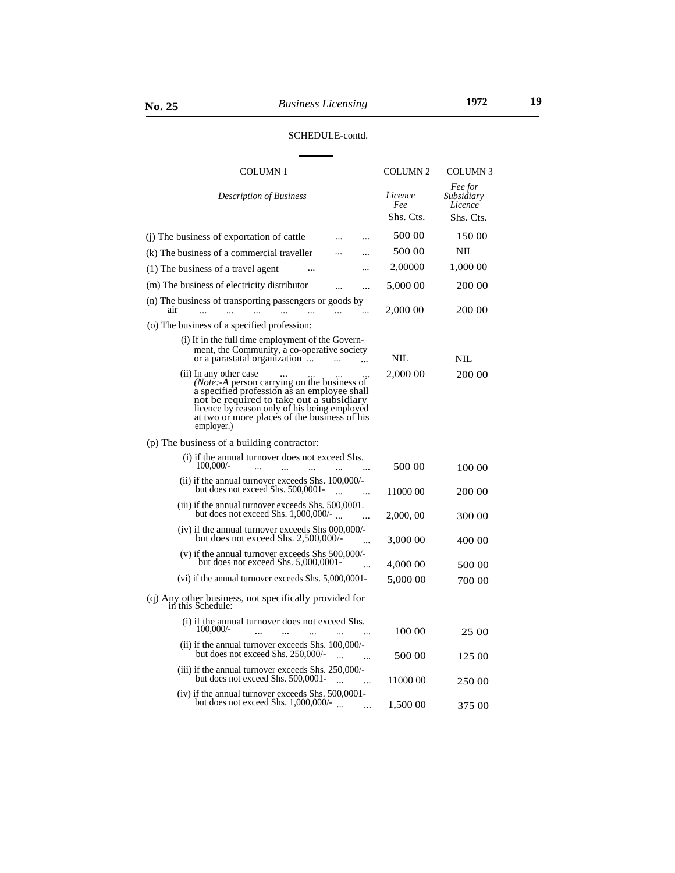# SCHEDULE-contd.

| COLUMN <sub>1</sub>                                                                                                                                                                                                                                                                                          | <b>COLUMN 2</b>             | COLUMN <sub>3</sub>                           |
|--------------------------------------------------------------------------------------------------------------------------------------------------------------------------------------------------------------------------------------------------------------------------------------------------------------|-----------------------------|-----------------------------------------------|
| <b>Description of Business</b>                                                                                                                                                                                                                                                                               | Licence<br>Fee<br>Shs. Cts. | Fee for<br>Subsidiary<br>Licence<br>Shs. Cts. |
|                                                                                                                                                                                                                                                                                                              | 500 00                      |                                               |
| (j) The business of exportation of cattle                                                                                                                                                                                                                                                                    |                             | 150 00                                        |
| (k) The business of a commercial traveller                                                                                                                                                                                                                                                                   | 500 00                      | NIL                                           |
| (1) The business of a travel agent<br>$\ddotsc$                                                                                                                                                                                                                                                              | 2,00000                     | 1,000 00                                      |
| (m) The business of electricity distributor<br>$\ddotsc$                                                                                                                                                                                                                                                     | 5,000 00                    | 200 00                                        |
| (n) The business of transporting passengers or goods by<br>air                                                                                                                                                                                                                                               | 2,000 00                    | 200 00                                        |
| (o) The business of a specified profession:                                                                                                                                                                                                                                                                  |                             |                                               |
| (i) If in the full time employment of the Govern-<br>ment, the Community, a co-operative society<br>or a parastatal organization                                                                                                                                                                             | NIL                         | NIL                                           |
| (ii) In any other case<br>In any other case<br>( <i>Note</i> :-A person carrying on the business of<br>a specified profession as an employee shall<br>not be required to take out a subsidiary<br>licence by reason only of his being employed<br>at two or more places of the business of his<br>employer.) | 2,000 00                    | 200 00                                        |
| (p) The business of a building contractor:                                                                                                                                                                                                                                                                   |                             |                                               |
| (i) if the annual turnover does not exceed Shs.<br>100,000/-<br>$\ddotsc$<br>$\ddotsc$                                                                                                                                                                                                                       | 500 00                      | 100 00                                        |
| $(ii)$ if the annual turnover exceeds Shs. 100,000/-<br>but does not exceed Shs. 500,0001-                                                                                                                                                                                                                   | 11000 00                    | 200 00                                        |
| (iii) if the annual turnover exceeds Shs. 500,0001.<br>but does not exceed Shs. 1,000,000/-                                                                                                                                                                                                                  | 2,000, 00                   | 300 00                                        |
| $(iv)$ if the annual turnover exceeds Shs 000,000/-<br>but does not exceed Shs. 2,500,000/-                                                                                                                                                                                                                  | 3,000 00                    | 400 00                                        |
| (v) if the annual turnover exceeds Shs $500,000/$<br>but does not exceed Shs. 5,000,0001-<br>.                                                                                                                                                                                                               | 4,000 00                    | 500 00                                        |
| $(vi)$ if the annual turnover exceeds Shs. $5,000,0001$                                                                                                                                                                                                                                                      | 5,000 00                    | 700 00                                        |
| (q) Any other business, not specifically provided for in this Schedule:                                                                                                                                                                                                                                      |                             |                                               |
| (i) if the annual turnover does not exceed Shs.<br>100,000/-                                                                                                                                                                                                                                                 | 100 00                      | 25 00                                         |
| $(ii)$ if the annual turnover exceeds Shs. 100,000/-<br>but does not exceed Shs. 250,000/-                                                                                                                                                                                                                   | 500 00                      | 125 00                                        |
| (iii) if the annual turnover exceeds Shs. 250,000/-<br>but does not exceed Shs. 500,0001-                                                                                                                                                                                                                    | 11000 00                    | 250 00                                        |
| $(iv)$ if the annual turnover exceeds Shs. 500,0001-<br>but does not exceed Shs. $1,000,000/$ -                                                                                                                                                                                                              | 1,500 00                    | 375 00                                        |